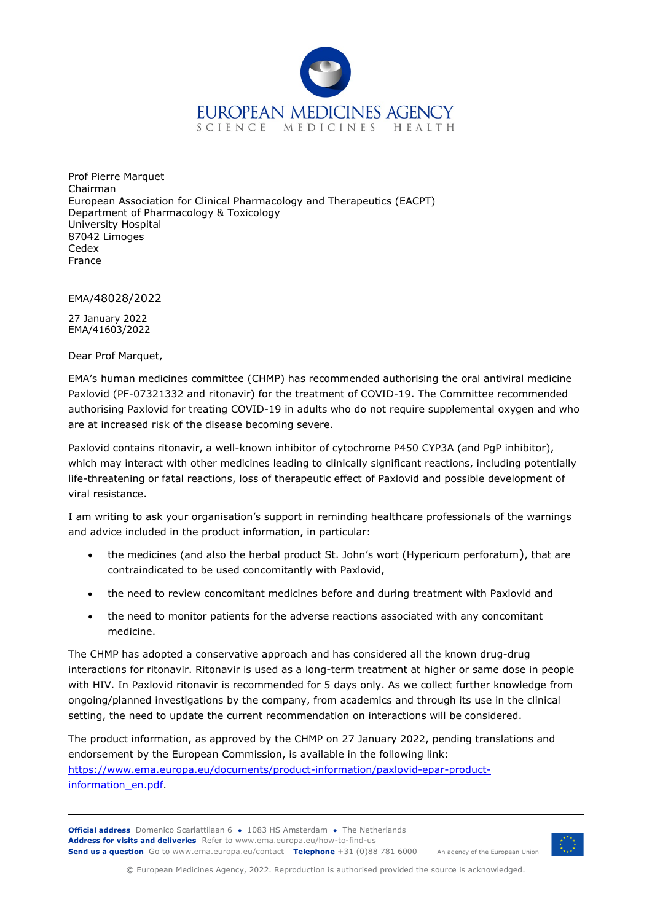

Prof Pierre Marquet Chairman European Association for Clinical Pharmacology and Therapeutics (EACPT) Department of Pharmacology & Toxicology University Hospital 87042 Limoges Cedex France

EMA/48028/2022

27 January 2022 EMA/41603/2022

Dear Prof Marquet,

EMA's human medicines committee (CHMP) has recommended authorising the oral antiviral medicine Paxlovid (PF-07321332 and ritonavir) for the treatment of COVID-19. The Committee recommended authorising Paxlovid for treating COVID-19 in adults who do not require supplemental oxygen and who are at increased risk of the disease becoming severe.

Paxlovid contains ritonavir, a well-known inhibitor of cytochrome P450 CYP3A (and PgP inhibitor), which may interact with other medicines leading to clinically significant reactions, including potentially life-threatening or fatal reactions, loss of therapeutic effect of Paxlovid and possible development of viral resistance.

I am writing to ask your organisation's support in reminding healthcare professionals of the warnings and advice included in the product information, in particular:

- the medicines (and also the herbal product St. John's wort (Hypericum perforatum), that are contraindicated to be used concomitantly with Paxlovid,
- the need to review concomitant medicines before and during treatment with Paxlovid and
- the need to monitor patients for the adverse reactions associated with any concomitant medicine.

The CHMP has adopted a conservative approach and has considered all the known drug-drug interactions for ritonavir. Ritonavir is used as a long-term treatment at higher or same dose in people with HIV. In Paxlovid ritonavir is recommended for 5 days only. As we collect further knowledge from ongoing/planned investigations by the company, from academics and through its use in the clinical setting, the need to update the current recommendation on interactions will be considered.

The product information, as approved by the CHMP on 27 January 2022, pending translations and endorsement by the European Commission, is available in the following link: [https://www.ema.europa.eu/documents/product-information/paxlovid-epar-product](https://www.ema.europa.eu/documents/product-information/paxlovid-epar-product-information_en.pdf)[information\\_en.pdf.](https://www.ema.europa.eu/documents/product-information/paxlovid-epar-product-information_en.pdf)

**Official address** Domenico Scarlattilaan 6 **●** 1083 HS Amsterdam **●** The Netherlands An agency of the European Union **Address for visits and deliveries** Refer to www.ema.europa.eu/how-to-find-us **Send us a question** Go to www.ema.europa.eu/contact **Telephone** +31 (0)88 781 6000



© European Medicines Agency, 2022. Reproduction is authorised provided the source is acknowledged.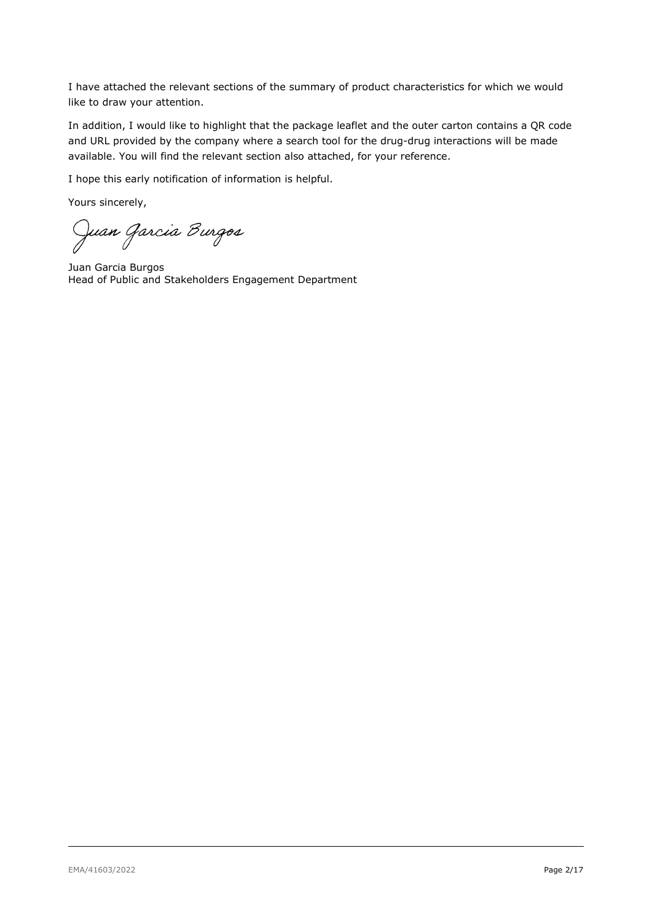I have attached the relevant sections of the summary of product characteristics for which we would like to draw your attention.

In addition, I would like to highlight that the package leaflet and the outer carton contains a QR code and URL provided by the company where a search tool for the drug-drug interactions will be made available. You will find the relevant section also attached, for your reference.

I hope this early notification of information is helpful.

Yours sincerely,

Juan Garcia Burgos

Juan Garcia Burgos Head of Public and Stakeholders Engagement Department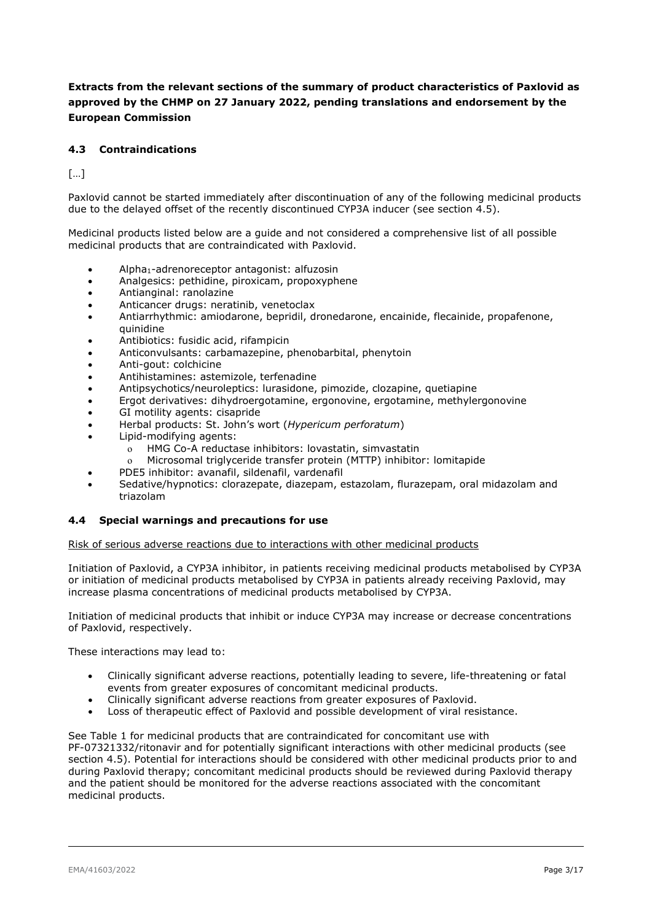### **Extracts from the relevant sections of the summary of product characteristics of Paxlovid as approved by the CHMP on 27 January 2022, pending translations and endorsement by the European Commission**

#### **4.3 Contraindications**

[…]

Paxlovid cannot be started immediately after discontinuation of any of the following medicinal products due to the delayed offset of the recently discontinued CYP3A inducer (see section 4.5).

Medicinal products listed below are a guide and not considered a comprehensive list of all possible medicinal products that are contraindicated with Paxlovid.

- Alpha1-adrenoreceptor antagonist: alfuzosin
- Analgesics: pethidine, piroxicam, propoxyphene
- Antianginal: ranolazine
- Anticancer drugs: neratinib, venetoclax
- Antiarrhythmic: amiodarone, bepridil, dronedarone, encainide, flecainide, propafenone, quinidine
- Antibiotics: fusidic acid, rifampicin
- Anticonvulsants: carbamazepine, phenobarbital, phenytoin
- Anti-gout: colchicine
- Antihistamines: astemizole, terfenadine
- Antipsychotics/neuroleptics: lurasidone, pimozide, clozapine, quetiapine
- Ergot derivatives: dihydroergotamine, ergonovine, ergotamine, methylergonovine
- GI motility agents: cisapride
- Herbal products: St. John's wort (*Hypericum perforatum*)
- Lipid-modifying agents:
	- o HMG Co-A reductase inhibitors: lovastatin, simvastatin
	- o Microsomal triglyceride transfer protein (MTTP) inhibitor: lomitapide
	- PDE5 inhibitor: avanafil, sildenafil, vardenafil
- Sedative/hypnotics: clorazepate, diazepam, estazolam, flurazepam, oral midazolam and triazolam

#### **4.4 Special warnings and precautions for use**

Risk of serious adverse reactions due to interactions with other medicinal products

Initiation of Paxlovid, a CYP3A inhibitor, in patients receiving medicinal products metabolised by CYP3A or initiation of medicinal products metabolised by CYP3A in patients already receiving Paxlovid, may increase plasma concentrations of medicinal products metabolised by CYP3A.

Initiation of medicinal products that inhibit or induce CYP3A may increase or decrease concentrations of Paxlovid, respectively.

These interactions may lead to:

- Clinically significant adverse reactions, potentially leading to severe, life-threatening or fatal events from greater exposures of concomitant medicinal products.
- Clinically significant adverse reactions from greater exposures of Paxlovid.
- Loss of therapeutic effect of Paxlovid and possible development of viral resistance.

See Table 1 for medicinal products that are contraindicated for concomitant use with

PF-07321332/ritonavir and for potentially significant interactions with other medicinal products (see section 4.5). Potential for interactions should be considered with other medicinal products prior to and during Paxlovid therapy; concomitant medicinal products should be reviewed during Paxlovid therapy and the patient should be monitored for the adverse reactions associated with the concomitant medicinal products.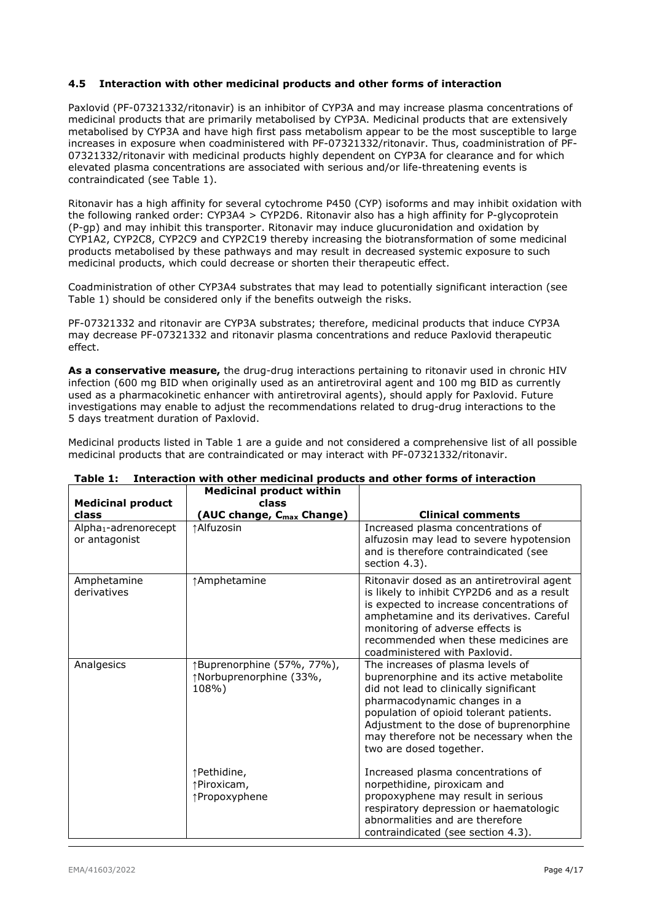Paxlovid (PF-07321332/ritonavir) is an inhibitor of CYP3A and may increase plasma concentrations of medicinal products that are primarily metabolised by CYP3A. Medicinal products that are extensively metabolised by CYP3A and have high first pass metabolism appear to be the most susceptible to large increases in exposure when coadministered with PF-07321332/ritonavir. Thus, coadministration of PF-07321332/ritonavir with medicinal products highly dependent on CYP3A for clearance and for which elevated plasma concentrations are associated with serious and/or life-threatening events is contraindicated (see Table 1).

Ritonavir has a high affinity for several cytochrome P450 (CYP) isoforms and may inhibit oxidation with the following ranked order: CYP3A4 > CYP2D6. Ritonavir also has a high affinity for P-glycoprotein (P-gp) and may inhibit this transporter. Ritonavir may induce glucuronidation and oxidation by CYP1A2, CYP2C8, CYP2C9 and CYP2C19 thereby increasing the biotransformation of some medicinal products metabolised by these pathways and may result in decreased systemic exposure to such medicinal products, which could decrease or shorten their therapeutic effect.

Coadministration of other CYP3A4 substrates that may lead to potentially significant interaction (see Table 1) should be considered only if the benefits outweigh the risks.

PF-07321332 and ritonavir are CYP3A substrates; therefore, medicinal products that induce CYP3A may decrease PF-07321332 and ritonavir plasma concentrations and reduce Paxlovid therapeutic effect.

**As a conservative measure,** the drug-drug interactions pertaining to ritonavir used in chronic HIV infection (600 mg BID when originally used as an antiretroviral agent and 100 mg BID as currently used as a pharmacokinetic enhancer with antiretroviral agents), should apply for Paxlovid. Future investigations may enable to adjust the recommendations related to drug-drug interactions to the 5 days treatment duration of Paxlovid.

Medicinal products listed in Table 1 are a guide and not considered a comprehensive list of all possible medicinal products that are contraindicated or may interact with PF-07321332/ritonavir.

| <b>Medicinal product</b>                                   | <b>Medicinal product within</b><br>class                       |                                                                                                                                                                                                                                                                                                                    |
|------------------------------------------------------------|----------------------------------------------------------------|--------------------------------------------------------------------------------------------------------------------------------------------------------------------------------------------------------------------------------------------------------------------------------------------------------------------|
| class<br>Alpha <sub>1</sub> -adrenorecept<br>or antagonist | (AUC change, C <sub>max</sub> Change)<br>↑Alfuzosin            | <b>Clinical comments</b><br>Increased plasma concentrations of<br>alfuzosin may lead to severe hypotension<br>and is therefore contraindicated (see<br>section 4.3).                                                                                                                                               |
| Amphetamine<br>derivatives                                 | ↑Amphetamine                                                   | Ritonavir dosed as an antiretroviral agent<br>is likely to inhibit CYP2D6 and as a result<br>is expected to increase concentrations of<br>amphetamine and its derivatives. Careful<br>monitoring of adverse effects is<br>recommended when these medicines are<br>coadministered with Paxlovid.                    |
| Analgesics                                                 | ↑Buprenorphine (57%, 77%),<br>↑Norbuprenorphine (33%,<br>108%) | The increases of plasma levels of<br>buprenorphine and its active metabolite<br>did not lead to clinically significant<br>pharmacodynamic changes in a<br>population of opioid tolerant patients.<br>Adjustment to the dose of buprenorphine<br>may therefore not be necessary when the<br>two are dosed together. |
|                                                            | ↑Pethidine,<br>↑Piroxicam,<br>↑Propoxyphene                    | Increased plasma concentrations of<br>norpethidine, piroxicam and<br>propoxyphene may result in serious<br>respiratory depression or haematologic<br>abnormalities and are therefore<br>contraindicated (see section 4.3).                                                                                         |

#### **Table 1: Interaction with other medicinal products and other forms of interaction Medicinal product within**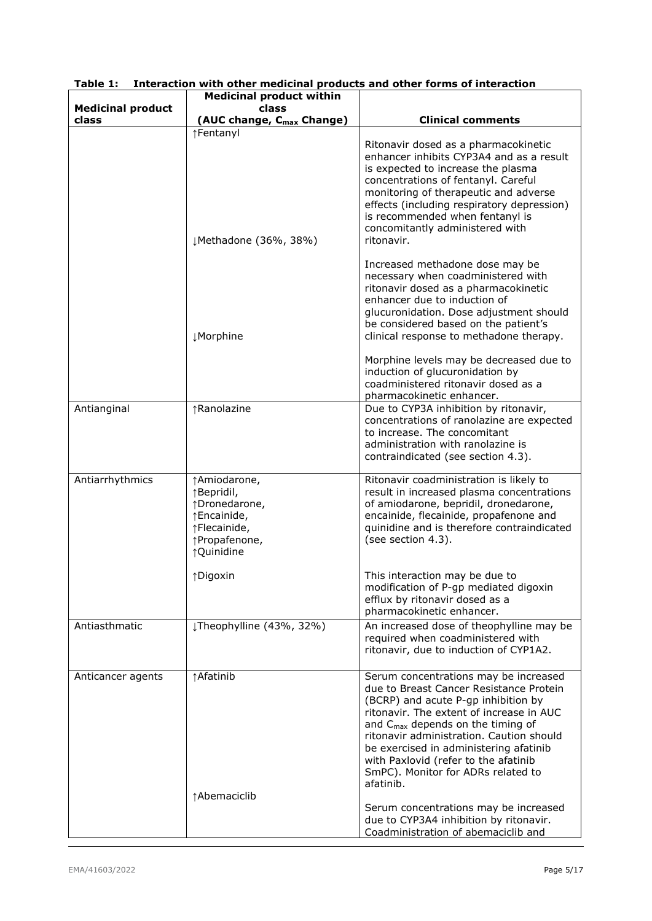|                          | <b>Medicinal product within</b>                                                                            |                                                                                                                                                                                                                                                                                                                                                                                                       |
|--------------------------|------------------------------------------------------------------------------------------------------------|-------------------------------------------------------------------------------------------------------------------------------------------------------------------------------------------------------------------------------------------------------------------------------------------------------------------------------------------------------------------------------------------------------|
| <b>Medicinal product</b> | class                                                                                                      |                                                                                                                                                                                                                                                                                                                                                                                                       |
| class                    | (AUC change, C <sub>max</sub> Change)                                                                      | <b>Clinical comments</b>                                                                                                                                                                                                                                                                                                                                                                              |
|                          | ↑Fentanyl<br>↓Methadone (36%, 38%)                                                                         | Ritonavir dosed as a pharmacokinetic<br>enhancer inhibits CYP3A4 and as a result<br>is expected to increase the plasma<br>concentrations of fentanyl. Careful<br>monitoring of therapeutic and adverse<br>effects (including respiratory depression)<br>is recommended when fentanyl is<br>concomitantly administered with<br>ritonavir.                                                              |
|                          | <b>JMorphine</b>                                                                                           | Increased methadone dose may be<br>necessary when coadministered with<br>ritonavir dosed as a pharmacokinetic<br>enhancer due to induction of<br>glucuronidation. Dose adjustment should<br>be considered based on the patient's<br>clinical response to methadone therapy.                                                                                                                           |
|                          |                                                                                                            | Morphine levels may be decreased due to<br>induction of glucuronidation by<br>coadministered ritonavir dosed as a<br>pharmacokinetic enhancer.                                                                                                                                                                                                                                                        |
| Antianginal              | ↑Ranolazine                                                                                                | Due to CYP3A inhibition by ritonavir,<br>concentrations of ranolazine are expected<br>to increase. The concomitant<br>administration with ranolazine is<br>contraindicated (see section 4.3).                                                                                                                                                                                                         |
| Antiarrhythmics          | ↑Amiodarone,<br>↑Bepridil,<br>↑Dronedarone,<br>↑Encainide,<br>↑Flecainide,<br>↑Propafenone,<br>↑ Quinidine | Ritonavir coadministration is likely to<br>result in increased plasma concentrations<br>of amiodarone, bepridil, dronedarone,<br>encainide, flecainide, propafenone and<br>quinidine and is therefore contraindicated<br>(see section 4.3).                                                                                                                                                           |
|                          | ↑Digoxin                                                                                                   | This interaction may be due to<br>modification of P-gp mediated digoxin<br>efflux by ritonavir dosed as a<br>pharmacokinetic enhancer.                                                                                                                                                                                                                                                                |
| Antiasthmatic            | JTheophylline (43%, 32%)                                                                                   | An increased dose of theophylline may be<br>required when coadministered with<br>ritonavir, due to induction of CYP1A2.                                                                                                                                                                                                                                                                               |
| Anticancer agents        | ↑Afatinib<br>↑Abemaciclib                                                                                  | Serum concentrations may be increased<br>due to Breast Cancer Resistance Protein<br>(BCRP) and acute P-gp inhibition by<br>ritonavir. The extent of increase in AUC<br>and C <sub>max</sub> depends on the timing of<br>ritonavir administration. Caution should<br>be exercised in administering afatinib<br>with Paxlovid (refer to the afatinib<br>SmPC). Monitor for ADRs related to<br>afatinib. |
|                          |                                                                                                            | Serum concentrations may be increased<br>due to CYP3A4 inhibition by ritonavir.<br>Coadministration of abemaciclib and                                                                                                                                                                                                                                                                                |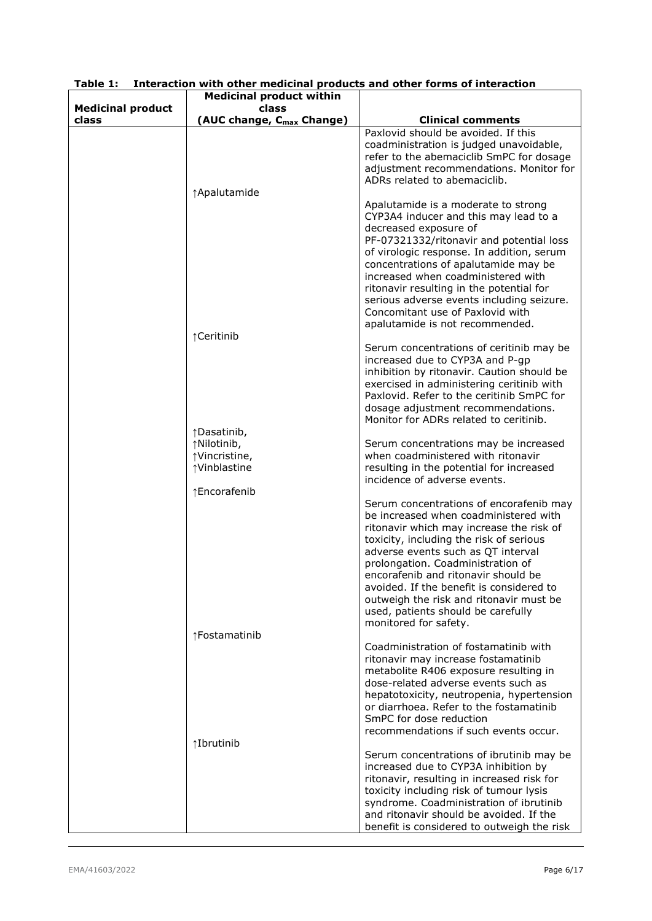|                          | <b>Medicinal product within</b>                              |                                                                                                                                                                                                                                                                                                                                                                                                                                                 |
|--------------------------|--------------------------------------------------------------|-------------------------------------------------------------------------------------------------------------------------------------------------------------------------------------------------------------------------------------------------------------------------------------------------------------------------------------------------------------------------------------------------------------------------------------------------|
| <b>Medicinal product</b> | class                                                        |                                                                                                                                                                                                                                                                                                                                                                                                                                                 |
| class                    | (AUC change, C <sub>max</sub> Change)                        | <b>Clinical comments</b><br>Paxlovid should be avoided. If this<br>coadministration is judged unavoidable,<br>refer to the abemaciclib SmPC for dosage                                                                                                                                                                                                                                                                                          |
|                          | ↑ Apalutamide                                                | adjustment recommendations. Monitor for<br>ADRs related to abemaciclib.                                                                                                                                                                                                                                                                                                                                                                         |
|                          | ↑Ceritinib                                                   | Apalutamide is a moderate to strong<br>CYP3A4 inducer and this may lead to a<br>decreased exposure of<br>PF-07321332/ritonavir and potential loss<br>of virologic response. In addition, serum<br>concentrations of apalutamide may be<br>increased when coadministered with<br>ritonavir resulting in the potential for<br>serious adverse events including seizure.<br>Concomitant use of Paxlovid with<br>apalutamide is not recommended.    |
|                          | ↑Dasatinib,                                                  | Serum concentrations of ceritinib may be<br>increased due to CYP3A and P-gp<br>inhibition by ritonavir. Caution should be<br>exercised in administering ceritinib with<br>Paxlovid. Refer to the ceritinib SmPC for<br>dosage adjustment recommendations.<br>Monitor for ADRs related to ceritinib.                                                                                                                                             |
|                          | ↑Nilotinib,<br>↑Vincristine,<br>↑Vinblastine<br>↑Encorafenib | Serum concentrations may be increased<br>when coadministered with ritonavir<br>resulting in the potential for increased<br>incidence of adverse events.                                                                                                                                                                                                                                                                                         |
|                          |                                                              | Serum concentrations of encorafenib may<br>be increased when coadministered with<br>ritonavir which may increase the risk of<br>toxicity, including the risk of serious<br>adverse events such as QT interval<br>prolongation. Coadministration of<br>encorafenib and ritonavir should be<br>avoided. If the benefit is considered to<br>outweigh the risk and ritonavir must be<br>used, patients should be carefully<br>monitored for safety. |
| ↑Fostamatinib            |                                                              | Coadministration of fostamatinib with<br>ritonavir may increase fostamatinib<br>metabolite R406 exposure resulting in<br>dose-related adverse events such as<br>hepatotoxicity, neutropenia, hypertension<br>or diarrhoea. Refer to the fostamatinib<br>SmPC for dose reduction<br>recommendations if such events occur.                                                                                                                        |
|                          | ↑Ibrutinib                                                   | Serum concentrations of ibrutinib may be<br>increased due to CYP3A inhibition by<br>ritonavir, resulting in increased risk for<br>toxicity including risk of tumour lysis<br>syndrome. Coadministration of ibrutinib<br>and ritonavir should be avoided. If the<br>benefit is considered to outweigh the risk                                                                                                                                   |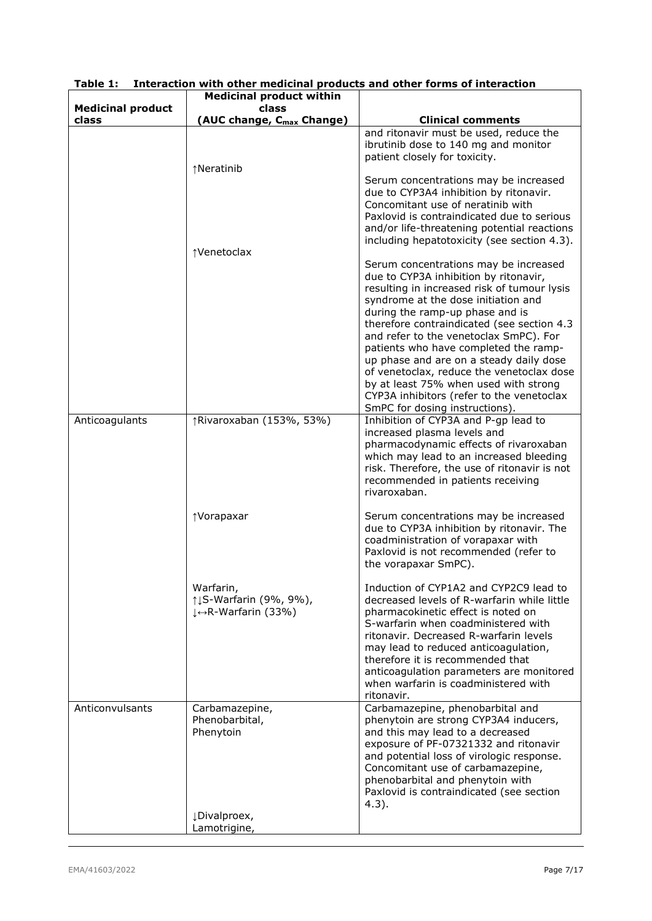|                                   | <b>Medicinal product within</b>                            |                                                                                                                                                                                                                                                                                                                                                                                                                                                                                                                                                          |
|-----------------------------------|------------------------------------------------------------|----------------------------------------------------------------------------------------------------------------------------------------------------------------------------------------------------------------------------------------------------------------------------------------------------------------------------------------------------------------------------------------------------------------------------------------------------------------------------------------------------------------------------------------------------------|
| <b>Medicinal product</b><br>class | class<br>(AUC change, C <sub>max</sub> Change)             | <b>Clinical comments</b>                                                                                                                                                                                                                                                                                                                                                                                                                                                                                                                                 |
|                                   |                                                            | and ritonavir must be used, reduce the                                                                                                                                                                                                                                                                                                                                                                                                                                                                                                                   |
|                                   | ↑Neratinib                                                 | ibrutinib dose to 140 mg and monitor<br>patient closely for toxicity.                                                                                                                                                                                                                                                                                                                                                                                                                                                                                    |
|                                   |                                                            | Serum concentrations may be increased<br>due to CYP3A4 inhibition by ritonavir.<br>Concomitant use of neratinib with<br>Paxlovid is contraindicated due to serious<br>and/or life-threatening potential reactions<br>including hepatotoxicity (see section 4.3).                                                                                                                                                                                                                                                                                         |
|                                   | ↑Venetoclax                                                |                                                                                                                                                                                                                                                                                                                                                                                                                                                                                                                                                          |
|                                   |                                                            | Serum concentrations may be increased<br>due to CYP3A inhibition by ritonavir,<br>resulting in increased risk of tumour lysis<br>syndrome at the dose initiation and<br>during the ramp-up phase and is<br>therefore contraindicated (see section 4.3<br>and refer to the venetoclax SmPC). For<br>patients who have completed the ramp-<br>up phase and are on a steady daily dose<br>of venetoclax, reduce the venetoclax dose<br>by at least 75% when used with strong<br>CYP3A inhibitors (refer to the venetoclax<br>SmPC for dosing instructions). |
| Anticoagulants                    | ↑Rivaroxaban (153%, 53%)                                   | Inhibition of CYP3A and P-gp lead to<br>increased plasma levels and<br>pharmacodynamic effects of rivaroxaban<br>which may lead to an increased bleeding<br>risk. Therefore, the use of ritonavir is not<br>recommended in patients receiving<br>rivaroxaban.                                                                                                                                                                                                                                                                                            |
|                                   | ↑Vorapaxar                                                 | Serum concentrations may be increased<br>due to CYP3A inhibition by ritonavir. The<br>coadministration of vorapaxar with<br>Paxlovid is not recommended (refer to<br>the vorapaxar SmPC).                                                                                                                                                                                                                                                                                                                                                                |
|                                   | Warfarin,<br>↑↓S-Warfarin (9%, 9%),<br>↓ +R-Warfarin (33%) | Induction of CYP1A2 and CYP2C9 lead to<br>decreased levels of R-warfarin while little<br>pharmacokinetic effect is noted on<br>S-warfarin when coadministered with<br>ritonavir. Decreased R-warfarin levels<br>may lead to reduced anticoagulation,<br>therefore it is recommended that<br>anticoagulation parameters are monitored<br>when warfarin is coadministered with<br>ritonavir.                                                                                                                                                               |
| Anticonvulsants                   | Carbamazepine,<br>Phenobarbital,<br>Phenytoin              | Carbamazepine, phenobarbital and<br>phenytoin are strong CYP3A4 inducers,<br>and this may lead to a decreased<br>exposure of PF-07321332 and ritonavir<br>and potential loss of virologic response.<br>Concomitant use of carbamazepine,<br>phenobarbital and phenytoin with<br>Paxlovid is contraindicated (see section<br>$4.3$ ).                                                                                                                                                                                                                     |
|                                   | ¿Divalproex,<br>Lamotrigine,                               |                                                                                                                                                                                                                                                                                                                                                                                                                                                                                                                                                          |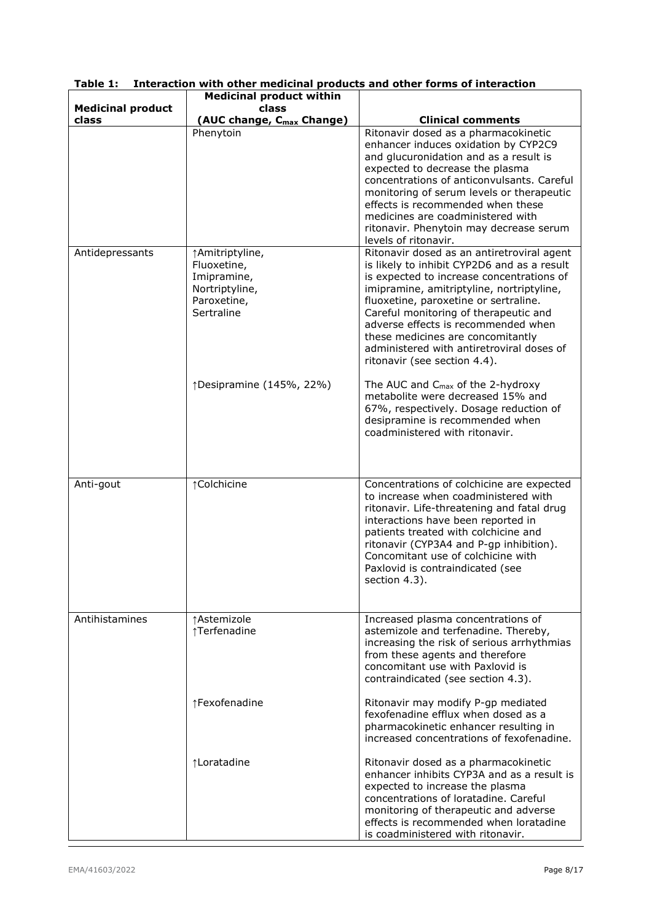|                                   | <b>Medicinal product within</b>                                                              |                                                                                                                                                                                                                                                                                                                                                                                                                                |
|-----------------------------------|----------------------------------------------------------------------------------------------|--------------------------------------------------------------------------------------------------------------------------------------------------------------------------------------------------------------------------------------------------------------------------------------------------------------------------------------------------------------------------------------------------------------------------------|
| <b>Medicinal product</b><br>class | class<br>(AUC change, C <sub>max</sub> Change)                                               | <b>Clinical comments</b>                                                                                                                                                                                                                                                                                                                                                                                                       |
|                                   | Phenytoin                                                                                    | Ritonavir dosed as a pharmacokinetic<br>enhancer induces oxidation by CYP2C9<br>and glucuronidation and as a result is<br>expected to decrease the plasma<br>concentrations of anticonvulsants. Careful<br>monitoring of serum levels or therapeutic<br>effects is recommended when these<br>medicines are coadministered with<br>ritonavir. Phenytoin may decrease serum<br>levels of ritonavir.                              |
| Antidepressants                   | ↑Amitriptyline,<br>Fluoxetine,<br>Imipramine,<br>Nortriptyline,<br>Paroxetine,<br>Sertraline | Ritonavir dosed as an antiretroviral agent<br>is likely to inhibit CYP2D6 and as a result<br>is expected to increase concentrations of<br>imipramine, amitriptyline, nortriptyline,<br>fluoxetine, paroxetine or sertraline.<br>Careful monitoring of therapeutic and<br>adverse effects is recommended when<br>these medicines are concomitantly<br>administered with antiretroviral doses of<br>ritonavir (see section 4.4). |
|                                   | ↑Desipramine (145%, 22%)                                                                     | The AUC and $C_{\text{max}}$ of the 2-hydroxy<br>metabolite were decreased 15% and<br>67%, respectively. Dosage reduction of<br>desipramine is recommended when<br>coadministered with ritonavir.                                                                                                                                                                                                                              |
| Anti-gout                         | ↑Colchicine                                                                                  | Concentrations of colchicine are expected<br>to increase when coadministered with<br>ritonavir. Life-threatening and fatal drug<br>interactions have been reported in<br>patients treated with colchicine and<br>ritonavir (CYP3A4 and P-gp inhibition).<br>Concomitant use of colchicine with<br>Paxlovid is contraindicated (see<br>section 4.3).                                                                            |
| Antihistamines                    | ↑ Astemizole<br>↑Terfenadine                                                                 | Increased plasma concentrations of<br>astemizole and terfenadine. Thereby,<br>increasing the risk of serious arrhythmias<br>from these agents and therefore<br>concomitant use with Paxlovid is<br>contraindicated (see section 4.3).                                                                                                                                                                                          |
|                                   | ↑Fexofenadine                                                                                | Ritonavir may modify P-gp mediated<br>fexofenadine efflux when dosed as a<br>pharmacokinetic enhancer resulting in<br>increased concentrations of fexofenadine.                                                                                                                                                                                                                                                                |
|                                   | ↑Loratadine                                                                                  | Ritonavir dosed as a pharmacokinetic<br>enhancer inhibits CYP3A and as a result is<br>expected to increase the plasma<br>concentrations of loratadine. Careful<br>monitoring of therapeutic and adverse<br>effects is recommended when loratadine<br>is coadministered with ritonavir.                                                                                                                                         |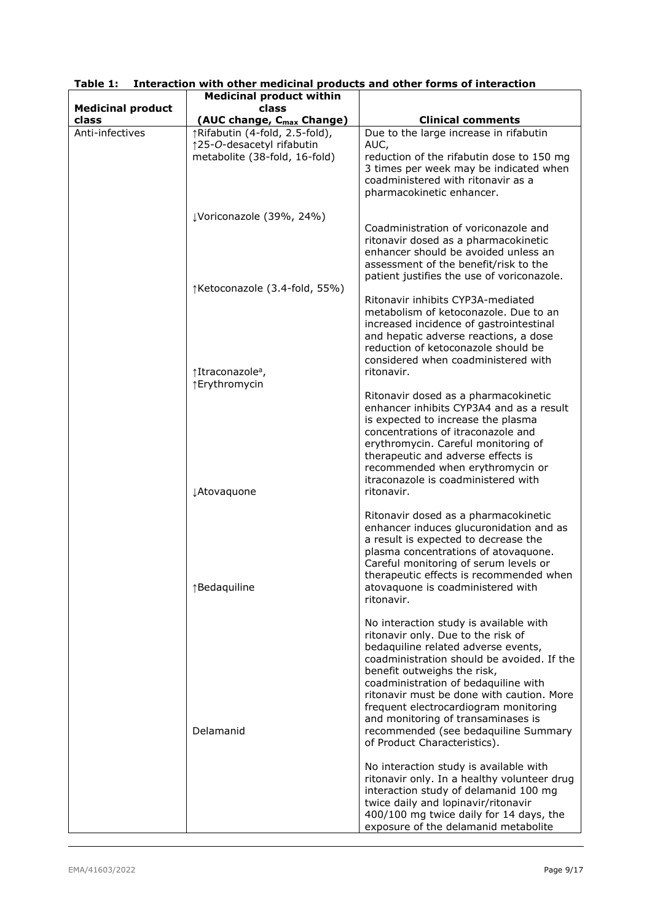|                          | <b>Medicinal product within</b>                                                              |                                                                                                                                                                                                                                                                                                                                                                                                                                                                                                                                                                                                                       |
|--------------------------|----------------------------------------------------------------------------------------------|-----------------------------------------------------------------------------------------------------------------------------------------------------------------------------------------------------------------------------------------------------------------------------------------------------------------------------------------------------------------------------------------------------------------------------------------------------------------------------------------------------------------------------------------------------------------------------------------------------------------------|
| <b>Medicinal product</b> | class                                                                                        |                                                                                                                                                                                                                                                                                                                                                                                                                                                                                                                                                                                                                       |
| class                    | (AUC change, C <sub>max</sub> Change)                                                        | <b>Clinical comments</b>                                                                                                                                                                                                                                                                                                                                                                                                                                                                                                                                                                                              |
| Anti-infectives          | ↑Rifabutin (4-fold, 2.5-fold),<br>↑25-O-desacetyl rifabutin<br>metabolite (38-fold, 16-fold) | Due to the large increase in rifabutin<br>AUC,<br>reduction of the rifabutin dose to 150 mg<br>3 times per week may be indicated when<br>coadministered with ritonavir as a<br>pharmacokinetic enhancer.                                                                                                                                                                                                                                                                                                                                                                                                              |
|                          | ↓Voriconazole (39%, 24%)                                                                     |                                                                                                                                                                                                                                                                                                                                                                                                                                                                                                                                                                                                                       |
|                          |                                                                                              | Coadministration of voriconazole and<br>ritonavir dosed as a pharmacokinetic<br>enhancer should be avoided unless an<br>assessment of the benefit/risk to the<br>patient justifies the use of voriconazole.                                                                                                                                                                                                                                                                                                                                                                                                           |
|                          | ↑Ketoconazole (3.4-fold, 55%)<br>↑Itraconazole <sup>a</sup> ,<br>↑Erythromycin               | Ritonavir inhibits CYP3A-mediated<br>metabolism of ketoconazole. Due to an<br>increased incidence of gastrointestinal<br>and hepatic adverse reactions, a dose<br>reduction of ketoconazole should be<br>considered when coadministered with<br>ritonavir.                                                                                                                                                                                                                                                                                                                                                            |
|                          | ¿Atovaquone                                                                                  | Ritonavir dosed as a pharmacokinetic<br>enhancer inhibits CYP3A4 and as a result<br>is expected to increase the plasma<br>concentrations of itraconazole and<br>erythromycin. Careful monitoring of<br>therapeutic and adverse effects is<br>recommended when erythromycin or<br>itraconazole is coadministered with<br>ritonavir.                                                                                                                                                                                                                                                                                    |
|                          | ↑Bedaquiline                                                                                 | Ritonavir dosed as a pharmacokinetic<br>enhancer induces glucuronidation and as<br>a result is expected to decrease the<br>plasma concentrations of atovaquone.<br>Careful monitoring of serum levels or<br>therapeutic effects is recommended when<br>atovaquone is coadministered with<br>ritonavir.                                                                                                                                                                                                                                                                                                                |
|                          | Delamanid                                                                                    | No interaction study is available with<br>ritonavir only. Due to the risk of<br>bedaquiline related adverse events,<br>coadministration should be avoided. If the<br>benefit outweighs the risk,<br>coadministration of bedaquiline with<br>ritonavir must be done with caution. More<br>frequent electrocardiogram monitoring<br>and monitoring of transaminases is<br>recommended (see bedaquiline Summary<br>of Product Characteristics).<br>No interaction study is available with<br>ritonavir only. In a healthy volunteer drug<br>interaction study of delamanid 100 mg<br>twice daily and lopinavir/ritonavir |
|                          |                                                                                              | 400/100 mg twice daily for 14 days, the<br>exposure of the delamanid metabolite                                                                                                                                                                                                                                                                                                                                                                                                                                                                                                                                       |

**Table 1: Interaction with other medicinal products and other forms of interaction**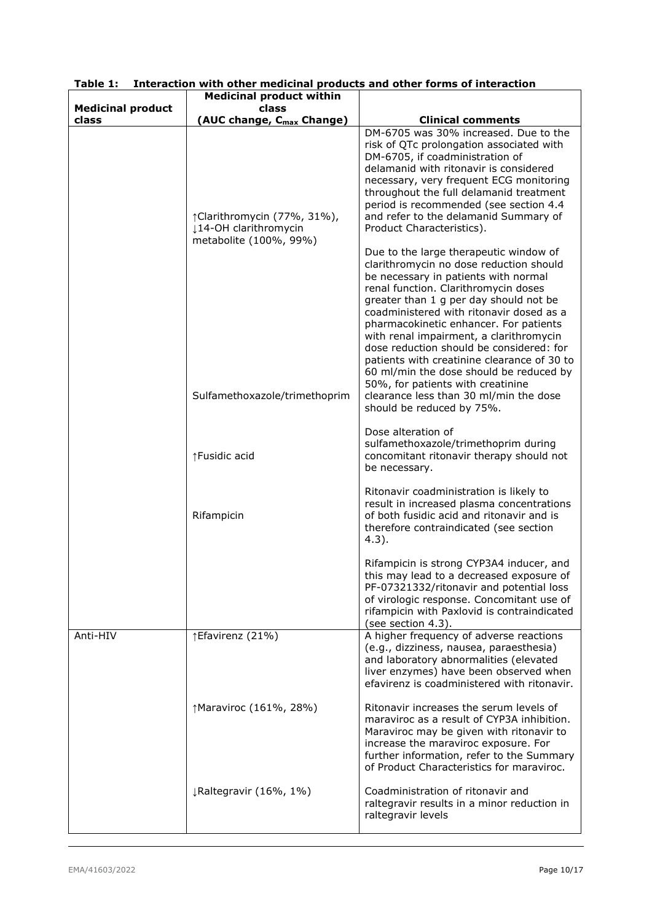|                                   | <b>Medicinal product within</b>                                               |                                                                                                                                                                                                                                                                                                                                                                                                                                                                                                                                                                                                |
|-----------------------------------|-------------------------------------------------------------------------------|------------------------------------------------------------------------------------------------------------------------------------------------------------------------------------------------------------------------------------------------------------------------------------------------------------------------------------------------------------------------------------------------------------------------------------------------------------------------------------------------------------------------------------------------------------------------------------------------|
| <b>Medicinal product</b><br>class | class<br>(AUC change, C <sub>max</sub> Change)                                | <b>Clinical comments</b>                                                                                                                                                                                                                                                                                                                                                                                                                                                                                                                                                                       |
|                                   | ↑Clarithromycin (77%, 31%),<br>14-OH clarithromycin<br>metabolite (100%, 99%) | DM-6705 was 30% increased. Due to the<br>risk of QTc prolongation associated with<br>DM-6705, if coadministration of<br>delamanid with ritonavir is considered<br>necessary, very frequent ECG monitoring<br>throughout the full delamanid treatment<br>period is recommended (see section 4.4<br>and refer to the delamanid Summary of<br>Product Characteristics).                                                                                                                                                                                                                           |
|                                   | Sulfamethoxazole/trimethoprim                                                 | Due to the large therapeutic window of<br>clarithromycin no dose reduction should<br>be necessary in patients with normal<br>renal function. Clarithromycin doses<br>greater than 1 g per day should not be<br>coadministered with ritonavir dosed as a<br>pharmacokinetic enhancer. For patients<br>with renal impairment, a clarithromycin<br>dose reduction should be considered: for<br>patients with creatinine clearance of 30 to<br>60 ml/min the dose should be reduced by<br>50%, for patients with creatinine<br>clearance less than 30 ml/min the dose<br>should be reduced by 75%. |
|                                   | ↑Fusidic acid                                                                 | Dose alteration of<br>sulfamethoxazole/trimethoprim during<br>concomitant ritonavir therapy should not<br>be necessary.                                                                                                                                                                                                                                                                                                                                                                                                                                                                        |
|                                   | Rifampicin                                                                    | Ritonavir coadministration is likely to<br>result in increased plasma concentrations<br>of both fusidic acid and ritonavir and is<br>therefore contraindicated (see section<br>$4.3$ ).                                                                                                                                                                                                                                                                                                                                                                                                        |
|                                   |                                                                               | Rifampicin is strong CYP3A4 inducer, and<br>this may lead to a decreased exposure of<br>PF-07321332/ritonavir and potential loss<br>of virologic response. Concomitant use of<br>rifampicin with Paxlovid is contraindicated<br>(see section 4.3).                                                                                                                                                                                                                                                                                                                                             |
| Anti-HIV                          | ↑Efavirenz (21%)                                                              | A higher frequency of adverse reactions<br>(e.g., dizziness, nausea, paraesthesia)<br>and laboratory abnormalities (elevated<br>liver enzymes) have been observed when<br>efavirenz is coadministered with ritonavir.                                                                                                                                                                                                                                                                                                                                                                          |
|                                   | ↑Maraviroc (161%, 28%)                                                        | Ritonavir increases the serum levels of<br>maraviroc as a result of CYP3A inhibition.<br>Maraviroc may be given with ritonavir to<br>increase the maraviroc exposure. For<br>further information, refer to the Summary<br>of Product Characteristics for maraviroc.                                                                                                                                                                                                                                                                                                                            |
|                                   | ↓Raltegravir (16%, 1%)                                                        | Coadministration of ritonavir and<br>raltegravir results in a minor reduction in<br>raltegravir levels                                                                                                                                                                                                                                                                                                                                                                                                                                                                                         |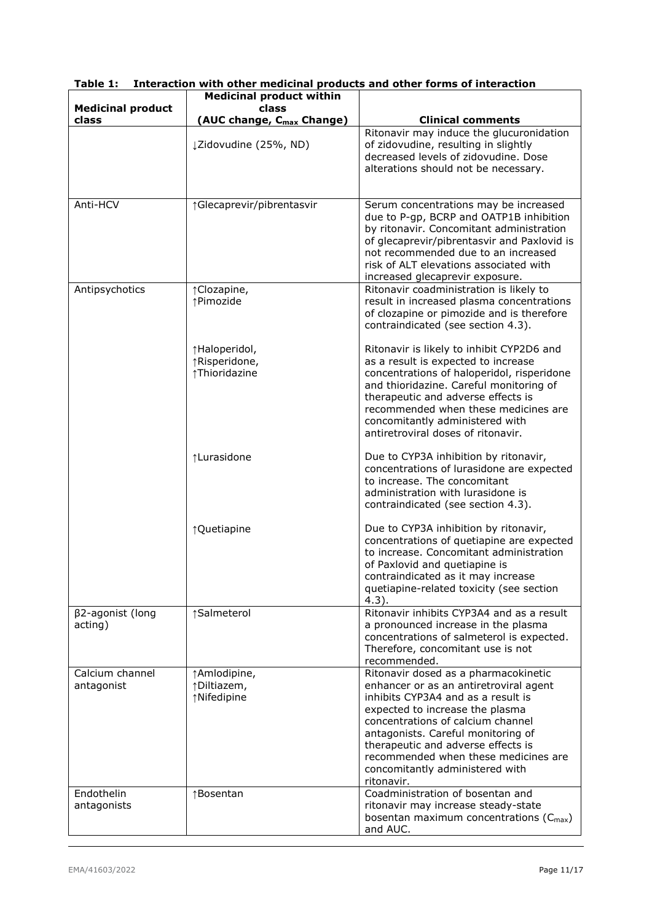|                                   | <b>Medicinal product within</b>                 |                                                                                                                                                                                                                                                                                                                                                                   |
|-----------------------------------|-------------------------------------------------|-------------------------------------------------------------------------------------------------------------------------------------------------------------------------------------------------------------------------------------------------------------------------------------------------------------------------------------------------------------------|
| <b>Medicinal product</b><br>class | class<br>(AUC change, C <sub>max</sub> Change)  | <b>Clinical comments</b>                                                                                                                                                                                                                                                                                                                                          |
|                                   | ¿Zidovudine (25%, ND)                           | Ritonavir may induce the glucuronidation<br>of zidovudine, resulting in slightly<br>decreased levels of zidovudine. Dose<br>alterations should not be necessary.                                                                                                                                                                                                  |
| Anti-HCV                          | ↑Glecaprevir/pibrentasvir                       | Serum concentrations may be increased<br>due to P-gp, BCRP and OATP1B inhibition<br>by ritonavir. Concomitant administration<br>of glecaprevir/pibrentasvir and Paxlovid is<br>not recommended due to an increased<br>risk of ALT elevations associated with<br>increased glecaprevir exposure.                                                                   |
| Antipsychotics                    | ↑Clozapine,<br>↑Pimozide                        | Ritonavir coadministration is likely to<br>result in increased plasma concentrations<br>of clozapine or pimozide and is therefore<br>contraindicated (see section 4.3).                                                                                                                                                                                           |
|                                   | ↑Haloperidol,<br>↑Risperidone,<br>↑Thioridazine | Ritonavir is likely to inhibit CYP2D6 and<br>as a result is expected to increase<br>concentrations of haloperidol, risperidone<br>and thioridazine. Careful monitoring of<br>therapeutic and adverse effects is<br>recommended when these medicines are<br>concomitantly administered with<br>antiretroviral doses of ritonavir.                                  |
|                                   | ↑Lurasidone                                     | Due to CYP3A inhibition by ritonavir,<br>concentrations of lurasidone are expected<br>to increase. The concomitant<br>administration with lurasidone is<br>contraindicated (see section 4.3).                                                                                                                                                                     |
|                                   | ↑Quetiapine                                     | Due to CYP3A inhibition by ritonavir,<br>concentrations of quetiapine are expected<br>to increase. Concomitant administration<br>of Paxlovid and quetiapine is<br>contraindicated as it may increase<br>quetiapine-related toxicity (see section<br>$4.3$ ).                                                                                                      |
| β2-agonist (long<br>acting)       | ↑Salmeterol                                     | Ritonavir inhibits CYP3A4 and as a result<br>a pronounced increase in the plasma<br>concentrations of salmeterol is expected.<br>Therefore, concomitant use is not<br>recommended.                                                                                                                                                                                |
| Calcium channel<br>antagonist     | ↑Amlodipine,<br>↑Diltiazem,<br>↑Nifedipine      | Ritonavir dosed as a pharmacokinetic<br>enhancer or as an antiretroviral agent<br>inhibits CYP3A4 and as a result is<br>expected to increase the plasma<br>concentrations of calcium channel<br>antagonists. Careful monitoring of<br>therapeutic and adverse effects is<br>recommended when these medicines are<br>concomitantly administered with<br>ritonavir. |
| Endothelin<br>antagonists         | ↑Bosentan                                       | Coadministration of bosentan and<br>ritonavir may increase steady-state<br>bosentan maximum concentrations $(C_{\text{max}})$<br>and AUC.                                                                                                                                                                                                                         |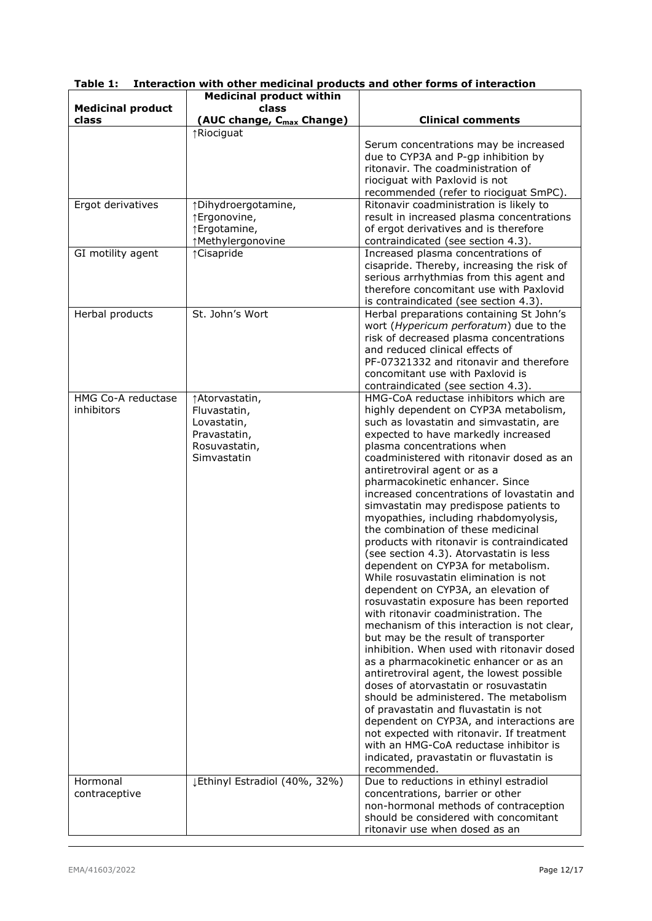|                                  | <b>Medicinal product within</b>                                                                |                                                                                                                                                                                                                                                                                                                                                                                                                                                                                                                                                                                                                                                                                                                                                                                                                                                                                                                                                                                                                                                                                                                                                                                                                                                                                                                                                 |
|----------------------------------|------------------------------------------------------------------------------------------------|-------------------------------------------------------------------------------------------------------------------------------------------------------------------------------------------------------------------------------------------------------------------------------------------------------------------------------------------------------------------------------------------------------------------------------------------------------------------------------------------------------------------------------------------------------------------------------------------------------------------------------------------------------------------------------------------------------------------------------------------------------------------------------------------------------------------------------------------------------------------------------------------------------------------------------------------------------------------------------------------------------------------------------------------------------------------------------------------------------------------------------------------------------------------------------------------------------------------------------------------------------------------------------------------------------------------------------------------------|
| <b>Medicinal product</b>         | class                                                                                          |                                                                                                                                                                                                                                                                                                                                                                                                                                                                                                                                                                                                                                                                                                                                                                                                                                                                                                                                                                                                                                                                                                                                                                                                                                                                                                                                                 |
| class                            | (AUC change, C <sub>max</sub> Change)                                                          | <b>Clinical comments</b>                                                                                                                                                                                                                                                                                                                                                                                                                                                                                                                                                                                                                                                                                                                                                                                                                                                                                                                                                                                                                                                                                                                                                                                                                                                                                                                        |
|                                  | ↑Riociguat                                                                                     | Serum concentrations may be increased<br>due to CYP3A and P-gp inhibition by<br>ritonavir. The coadministration of<br>riociguat with Paxlovid is not<br>recommended (refer to riociguat SmPC).                                                                                                                                                                                                                                                                                                                                                                                                                                                                                                                                                                                                                                                                                                                                                                                                                                                                                                                                                                                                                                                                                                                                                  |
| Ergot derivatives                | ↑Dihydroergotamine,<br>↑Ergonovine,<br>↑Ergotamine,<br>↑Methylergonovine                       | Ritonavir coadministration is likely to<br>result in increased plasma concentrations<br>of ergot derivatives and is therefore<br>contraindicated (see section 4.3).                                                                                                                                                                                                                                                                                                                                                                                                                                                                                                                                                                                                                                                                                                                                                                                                                                                                                                                                                                                                                                                                                                                                                                             |
| GI motility agent                | ↑ Cisapride                                                                                    | Increased plasma concentrations of<br>cisapride. Thereby, increasing the risk of<br>serious arrhythmias from this agent and<br>therefore concomitant use with Paxlovid<br>is contraindicated (see section 4.3).                                                                                                                                                                                                                                                                                                                                                                                                                                                                                                                                                                                                                                                                                                                                                                                                                                                                                                                                                                                                                                                                                                                                 |
| Herbal products                  | St. John's Wort                                                                                | Herbal preparations containing St John's<br>wort (Hypericum perforatum) due to the<br>risk of decreased plasma concentrations<br>and reduced clinical effects of<br>PF-07321332 and ritonavir and therefore<br>concomitant use with Paxlovid is<br>contraindicated (see section 4.3).                                                                                                                                                                                                                                                                                                                                                                                                                                                                                                                                                                                                                                                                                                                                                                                                                                                                                                                                                                                                                                                           |
| HMG Co-A reductase<br>inhibitors | ↑ Atorvastatin,<br>Fluvastatin,<br>Lovastatin,<br>Pravastatin,<br>Rosuvastatin,<br>Simvastatin | HMG-CoA reductase inhibitors which are<br>highly dependent on CYP3A metabolism,<br>such as lovastatin and simvastatin, are<br>expected to have markedly increased<br>plasma concentrations when<br>coadministered with ritonavir dosed as an<br>antiretroviral agent or as a<br>pharmacokinetic enhancer. Since<br>increased concentrations of lovastatin and<br>simvastatin may predispose patients to<br>myopathies, including rhabdomyolysis,<br>the combination of these medicinal<br>products with ritonavir is contraindicated<br>(see section 4.3). Atorvastatin is less<br>dependent on CYP3A for metabolism.<br>While rosuvastatin elimination is not<br>dependent on CYP3A, an elevation of<br>rosuvastatin exposure has been reported<br>with ritonavir coadministration. The<br>mechanism of this interaction is not clear,<br>but may be the result of transporter<br>inhibition. When used with ritonavir dosed<br>as a pharmacokinetic enhancer or as an<br>antiretroviral agent, the lowest possible<br>doses of atorvastatin or rosuvastatin<br>should be administered. The metabolism<br>of pravastatin and fluvastatin is not<br>dependent on CYP3A, and interactions are<br>not expected with ritonavir. If treatment<br>with an HMG-CoA reductase inhibitor is<br>indicated, pravastatin or fluvastatin is<br>recommended. |
| Hormonal<br>contraceptive        | ¿Ethinyl Estradiol (40%, 32%)                                                                  | Due to reductions in ethinyl estradiol<br>concentrations, barrier or other<br>non-hormonal methods of contraception<br>should be considered with concomitant<br>ritonavir use when dosed as an                                                                                                                                                                                                                                                                                                                                                                                                                                                                                                                                                                                                                                                                                                                                                                                                                                                                                                                                                                                                                                                                                                                                                  |

|  | Table 1: Interaction with other medicinal products and other forms of interaction |  |  |  |  |
|--|-----------------------------------------------------------------------------------|--|--|--|--|
|  |                                                                                   |  |  |  |  |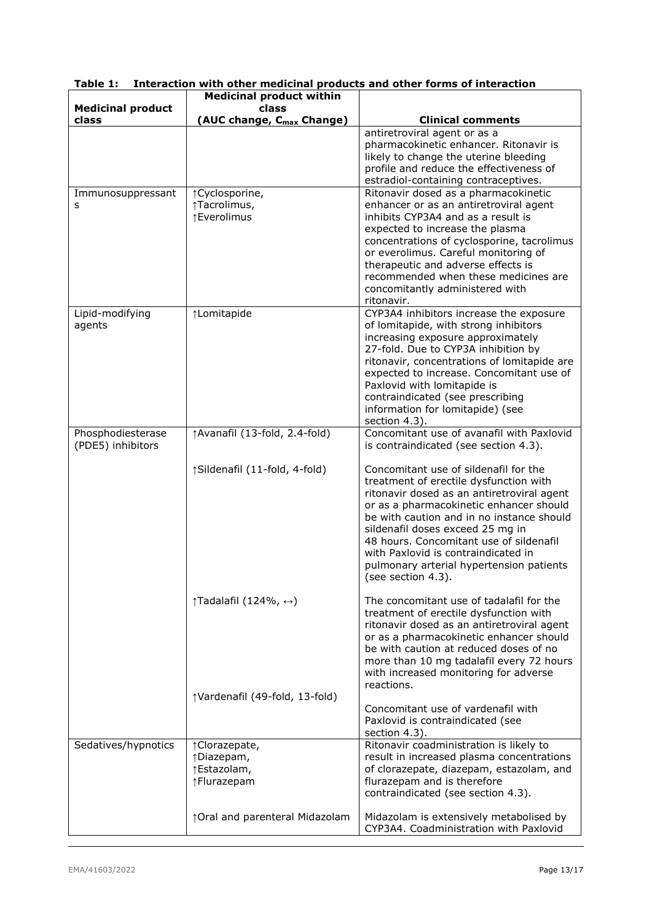|                                   | <b>Medicinal product within</b>                 |                                                                                      |  |  |  |
|-----------------------------------|-------------------------------------------------|--------------------------------------------------------------------------------------|--|--|--|
| <b>Medicinal product</b><br>class | class                                           | <b>Clinical comments</b>                                                             |  |  |  |
|                                   | (AUC change, C <sub>max</sub> Change)           | antiretroviral agent or as a                                                         |  |  |  |
|                                   |                                                 | pharmacokinetic enhancer. Ritonavir is                                               |  |  |  |
|                                   |                                                 | likely to change the uterine bleeding                                                |  |  |  |
|                                   |                                                 | profile and reduce the effectiveness of                                              |  |  |  |
| Immunosuppressant                 | ↑ Cyclosporine,                                 | estradiol-containing contraceptives.<br>Ritonavir dosed as a pharmacokinetic         |  |  |  |
| s                                 | ↑Tacrolimus,                                    | enhancer or as an antiretroviral agent                                               |  |  |  |
|                                   | ↑Everolimus                                     | inhibits CYP3A4 and as a result is                                                   |  |  |  |
|                                   |                                                 | expected to increase the plasma                                                      |  |  |  |
|                                   |                                                 | concentrations of cyclosporine, tacrolimus<br>or everolimus. Careful monitoring of   |  |  |  |
|                                   |                                                 | therapeutic and adverse effects is                                                   |  |  |  |
|                                   |                                                 | recommended when these medicines are                                                 |  |  |  |
|                                   |                                                 | concomitantly administered with<br>ritonavir.                                        |  |  |  |
| Lipid-modifying                   | ↑Lomitapide                                     | CYP3A4 inhibitors increase the exposure                                              |  |  |  |
| agents                            |                                                 | of lomitapide, with strong inhibitors                                                |  |  |  |
|                                   |                                                 | increasing exposure approximately                                                    |  |  |  |
|                                   |                                                 | 27-fold. Due to CYP3A inhibition by<br>ritonavir, concentrations of lomitapide are   |  |  |  |
|                                   |                                                 | expected to increase. Concomitant use of                                             |  |  |  |
|                                   |                                                 | Paxlovid with lomitapide is                                                          |  |  |  |
|                                   |                                                 | contraindicated (see prescribing                                                     |  |  |  |
|                                   |                                                 | information for lomitapide) (see<br>section 4.3).                                    |  |  |  |
| Phosphodiesterase                 | ↑Avanafil (13-fold, 2.4-fold)                   | Concomitant use of avanafil with Paxlovid                                            |  |  |  |
| (PDE5) inhibitors                 |                                                 | is contraindicated (see section 4.3).                                                |  |  |  |
|                                   | ↑Sildenafil (11-fold, 4-fold)                   | Concomitant use of sildenafil for the                                                |  |  |  |
|                                   |                                                 | treatment of erectile dysfunction with                                               |  |  |  |
|                                   |                                                 | ritonavir dosed as an antiretroviral agent                                           |  |  |  |
|                                   |                                                 | or as a pharmacokinetic enhancer should<br>be with caution and in no instance should |  |  |  |
|                                   |                                                 | sildenafil doses exceed 25 mg in                                                     |  |  |  |
|                                   |                                                 | 48 hours. Concomitant use of sildenafil                                              |  |  |  |
|                                   |                                                 | with Paxlovid is contraindicated in                                                  |  |  |  |
|                                   |                                                 | pulmonary arterial hypertension patients<br>(see section 4.3).                       |  |  |  |
|                                   |                                                 |                                                                                      |  |  |  |
|                                   | $\uparrow$ Tadalafil (124%, $\leftrightarrow$ ) | The concomitant use of tadalafil for the                                             |  |  |  |
|                                   |                                                 | treatment of erectile dysfunction with<br>ritonavir dosed as an antiretroviral agent |  |  |  |
|                                   |                                                 | or as a pharmacokinetic enhancer should                                              |  |  |  |
|                                   |                                                 | be with caution at reduced doses of no                                               |  |  |  |
|                                   |                                                 | more than 10 mg tadalafil every 72 hours                                             |  |  |  |
|                                   |                                                 | with increased monitoring for adverse<br>reactions.                                  |  |  |  |
|                                   | ↑Vardenafil (49-fold, 13-fold)                  |                                                                                      |  |  |  |
|                                   |                                                 | Concomitant use of vardenafil with                                                   |  |  |  |
|                                   |                                                 | Paxlovid is contraindicated (see<br>section 4.3).                                    |  |  |  |
| Sedatives/hypnotics               | ↑Clorazepate,                                   | Ritonavir coadministration is likely to                                              |  |  |  |
|                                   | ↑Diazepam,                                      | result in increased plasma concentrations                                            |  |  |  |
|                                   | ↑Estazolam,                                     | of clorazepate, diazepam, estazolam, and                                             |  |  |  |
|                                   | ↑Flurazepam                                     | flurazepam and is therefore<br>contraindicated (see section 4.3).                    |  |  |  |
|                                   |                                                 |                                                                                      |  |  |  |
|                                   | ↑ Oral and parenteral Midazolam                 | Midazolam is extensively metabolised by                                              |  |  |  |
|                                   |                                                 | CYP3A4. Coadministration with Paxlovid                                               |  |  |  |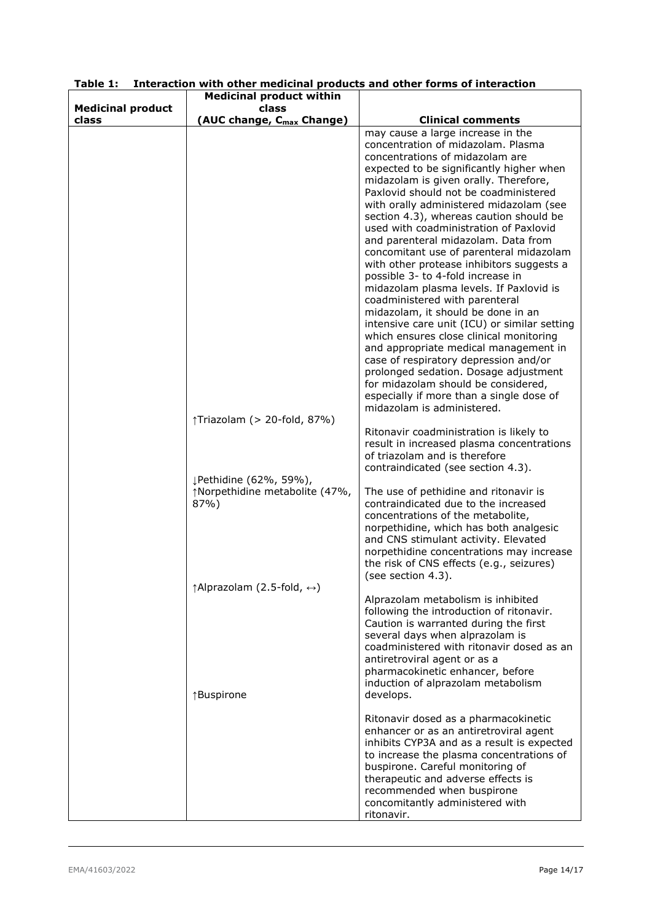|                          | <b>Medicinal product within</b>                      |                                                                                                                                                                                                                                                                                                                                                                                                                                                                                                                                                                                                                                                                                                                                                                                                                                              |
|--------------------------|------------------------------------------------------|----------------------------------------------------------------------------------------------------------------------------------------------------------------------------------------------------------------------------------------------------------------------------------------------------------------------------------------------------------------------------------------------------------------------------------------------------------------------------------------------------------------------------------------------------------------------------------------------------------------------------------------------------------------------------------------------------------------------------------------------------------------------------------------------------------------------------------------------|
| <b>Medicinal product</b> | class                                                |                                                                                                                                                                                                                                                                                                                                                                                                                                                                                                                                                                                                                                                                                                                                                                                                                                              |
| class                    | (AUC change, C <sub>max</sub> Change)                | <b>Clinical comments</b>                                                                                                                                                                                                                                                                                                                                                                                                                                                                                                                                                                                                                                                                                                                                                                                                                     |
|                          |                                                      | may cause a large increase in the<br>concentration of midazolam. Plasma<br>concentrations of midazolam are<br>expected to be significantly higher when<br>midazolam is given orally. Therefore,<br>Paxlovid should not be coadministered<br>with orally administered midazolam (see<br>section 4.3), whereas caution should be<br>used with coadministration of Paxlovid<br>and parenteral midazolam. Data from<br>concomitant use of parenteral midazolam<br>with other protease inhibitors suggests a<br>possible 3- to 4-fold increase in<br>midazolam plasma levels. If Paxlovid is<br>coadministered with parenteral<br>midazolam, it should be done in an<br>intensive care unit (ICU) or similar setting<br>which ensures close clinical monitoring<br>and appropriate medical management in<br>case of respiratory depression and/or |
|                          |                                                      | prolonged sedation. Dosage adjustment<br>for midazolam should be considered,<br>especially if more than a single dose of<br>midazolam is administered.                                                                                                                                                                                                                                                                                                                                                                                                                                                                                                                                                                                                                                                                                       |
|                          | ↑Triazolam (> 20-fold, 87%)                          |                                                                                                                                                                                                                                                                                                                                                                                                                                                                                                                                                                                                                                                                                                                                                                                                                                              |
|                          |                                                      | Ritonavir coadministration is likely to<br>result in increased plasma concentrations<br>of triazolam and is therefore<br>contraindicated (see section 4.3).                                                                                                                                                                                                                                                                                                                                                                                                                                                                                                                                                                                                                                                                                  |
|                          | ↓Pethidine (62%, 59%),                               |                                                                                                                                                                                                                                                                                                                                                                                                                                                                                                                                                                                                                                                                                                                                                                                                                                              |
|                          | ↑Norpethidine metabolite (47%,<br>87%)               | The use of pethidine and ritonavir is<br>contraindicated due to the increased<br>concentrations of the metabolite,<br>norpethidine, which has both analgesic<br>and CNS stimulant activity. Elevated<br>norpethidine concentrations may increase<br>the risk of CNS effects (e.g., seizures)<br>(see section 4.3).                                                                                                                                                                                                                                                                                                                                                                                                                                                                                                                           |
|                          | $\uparrow$ Alprazolam (2.5-fold, $\leftrightarrow$ ) |                                                                                                                                                                                                                                                                                                                                                                                                                                                                                                                                                                                                                                                                                                                                                                                                                                              |
|                          |                                                      | Alprazolam metabolism is inhibited<br>following the introduction of ritonavir.<br>Caution is warranted during the first<br>several days when alprazolam is<br>coadministered with ritonavir dosed as an<br>antiretroviral agent or as a<br>pharmacokinetic enhancer, before<br>induction of alprazolam metabolism                                                                                                                                                                                                                                                                                                                                                                                                                                                                                                                            |
|                          | ↑Buspirone                                           | develops.                                                                                                                                                                                                                                                                                                                                                                                                                                                                                                                                                                                                                                                                                                                                                                                                                                    |
|                          |                                                      | Ritonavir dosed as a pharmacokinetic<br>enhancer or as an antiretroviral agent<br>inhibits CYP3A and as a result is expected<br>to increase the plasma concentrations of<br>buspirone. Careful monitoring of<br>therapeutic and adverse effects is<br>recommended when buspirone<br>concomitantly administered with<br>ritonavir.                                                                                                                                                                                                                                                                                                                                                                                                                                                                                                            |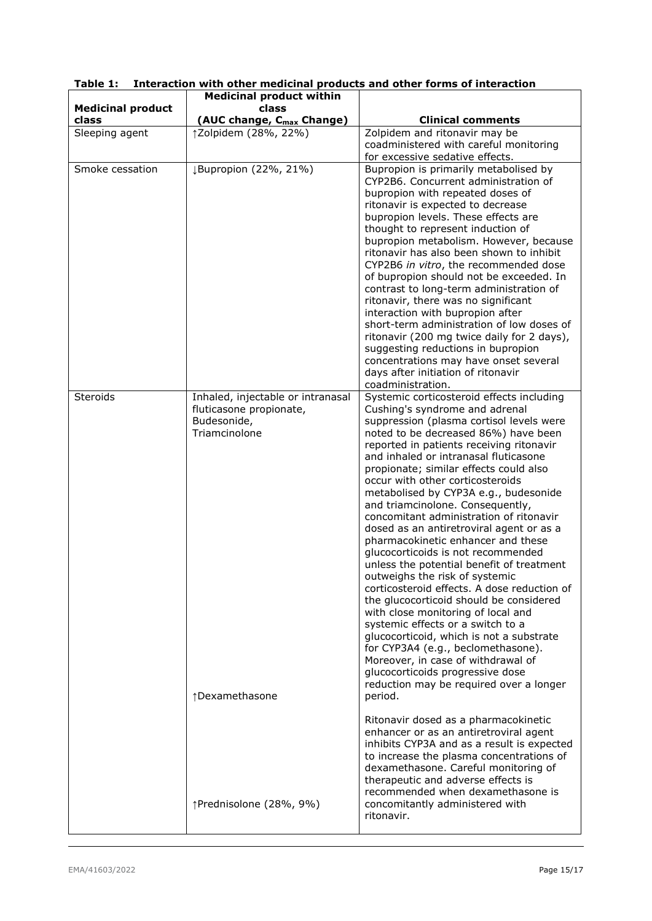|                                   | <b>Medicinal product within</b>                                                                                |                                                                                                                                                                                                                                                                                                                                                                                                                                                                                                                                                                                                                                                                                                                                                                                                                                                                                                                                                                                                                                                          |
|-----------------------------------|----------------------------------------------------------------------------------------------------------------|----------------------------------------------------------------------------------------------------------------------------------------------------------------------------------------------------------------------------------------------------------------------------------------------------------------------------------------------------------------------------------------------------------------------------------------------------------------------------------------------------------------------------------------------------------------------------------------------------------------------------------------------------------------------------------------------------------------------------------------------------------------------------------------------------------------------------------------------------------------------------------------------------------------------------------------------------------------------------------------------------------------------------------------------------------|
| <b>Medicinal product</b><br>class | class                                                                                                          |                                                                                                                                                                                                                                                                                                                                                                                                                                                                                                                                                                                                                                                                                                                                                                                                                                                                                                                                                                                                                                                          |
| Sleeping agent                    | (AUC change, C <sub>max</sub> Change)<br>↑Zolpidem (28%, 22%)                                                  | <b>Clinical comments</b><br>Zolpidem and ritonavir may be                                                                                                                                                                                                                                                                                                                                                                                                                                                                                                                                                                                                                                                                                                                                                                                                                                                                                                                                                                                                |
|                                   |                                                                                                                | coadministered with careful monitoring<br>for excessive sedative effects.                                                                                                                                                                                                                                                                                                                                                                                                                                                                                                                                                                                                                                                                                                                                                                                                                                                                                                                                                                                |
| Smoke cessation                   | ↓Bupropion (22%, 21%)                                                                                          | Bupropion is primarily metabolised by<br>CYP2B6. Concurrent administration of<br>bupropion with repeated doses of<br>ritonavir is expected to decrease<br>bupropion levels. These effects are<br>thought to represent induction of<br>bupropion metabolism. However, because<br>ritonavir has also been shown to inhibit<br>CYP2B6 in vitro, the recommended dose<br>of bupropion should not be exceeded. In<br>contrast to long-term administration of<br>ritonavir, there was no significant<br>interaction with bupropion after<br>short-term administration of low doses of<br>ritonavir (200 mg twice daily for 2 days),<br>suggesting reductions in bupropion<br>concentrations may have onset several<br>days after initiation of ritonavir<br>coadministration.                                                                                                                                                                                                                                                                                  |
| <b>Steroids</b>                   | Inhaled, injectable or intranasal<br>fluticasone propionate,<br>Budesonide,<br>Triamcinolone<br>↑Dexamethasone | Systemic corticosteroid effects including<br>Cushing's syndrome and adrenal<br>suppression (plasma cortisol levels were<br>noted to be decreased 86%) have been<br>reported in patients receiving ritonavir<br>and inhaled or intranasal fluticasone<br>propionate; similar effects could also<br>occur with other corticosteroids<br>metabolised by CYP3A e.g., budesonide<br>and triamcinolone. Consequently,<br>concomitant administration of ritonavir<br>dosed as an antiretroviral agent or as a<br>pharmacokinetic enhancer and these<br>glucocorticoids is not recommended<br>unless the potential benefit of treatment<br>outweighs the risk of systemic<br>corticosteroid effects. A dose reduction of<br>the glucocorticoid should be considered<br>with close monitoring of local and<br>systemic effects or a switch to a<br>glucocorticoid, which is not a substrate<br>for CYP3A4 (e.g., beclomethasone).<br>Moreover, in case of withdrawal of<br>glucocorticoids progressive dose<br>reduction may be required over a longer<br>period. |
|                                   | ↑Prednisolone (28%, 9%)                                                                                        | Ritonavir dosed as a pharmacokinetic<br>enhancer or as an antiretroviral agent<br>inhibits CYP3A and as a result is expected<br>to increase the plasma concentrations of<br>dexamethasone. Careful monitoring of<br>therapeutic and adverse effects is<br>recommended when dexamethasone is<br>concomitantly administered with<br>ritonavir.                                                                                                                                                                                                                                                                                                                                                                                                                                                                                                                                                                                                                                                                                                             |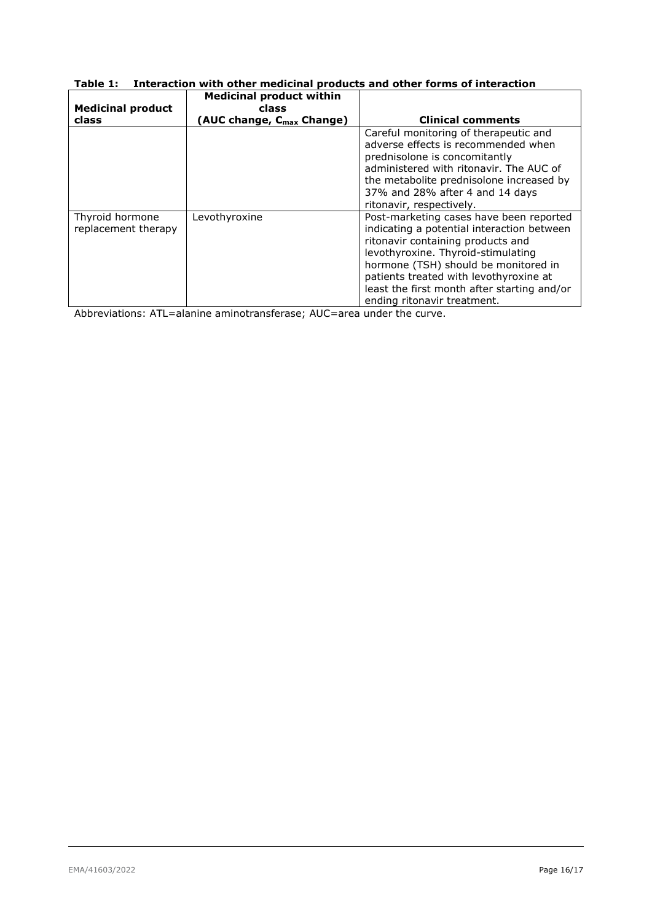| <b>Medicinal product</b>               | <b>Medicinal product within</b><br>class |                                                                                                                                                                                                                                                                                                   |
|----------------------------------------|------------------------------------------|---------------------------------------------------------------------------------------------------------------------------------------------------------------------------------------------------------------------------------------------------------------------------------------------------|
| class                                  | (AUC change, C <sub>max</sub> Change)    | <b>Clinical comments</b>                                                                                                                                                                                                                                                                          |
|                                        |                                          | Careful monitoring of therapeutic and<br>adverse effects is recommended when<br>prednisolone is concomitantly<br>administered with ritonavir. The AUC of<br>the metabolite prednisolone increased by<br>37% and 28% after 4 and 14 days<br>ritonavir, respectively.                               |
| Thyroid hormone<br>replacement therapy | Levothyroxine                            | Post-marketing cases have been reported<br>indicating a potential interaction between<br>ritonavir containing products and<br>levothyroxine. Thyroid-stimulating<br>hormone (TSH) should be monitored in<br>patients treated with levothyroxine at<br>least the first month after starting and/or |

ending ritonavir treatment. Abbreviations: ATL=alanine aminotransferase; AUC=area under the curve.